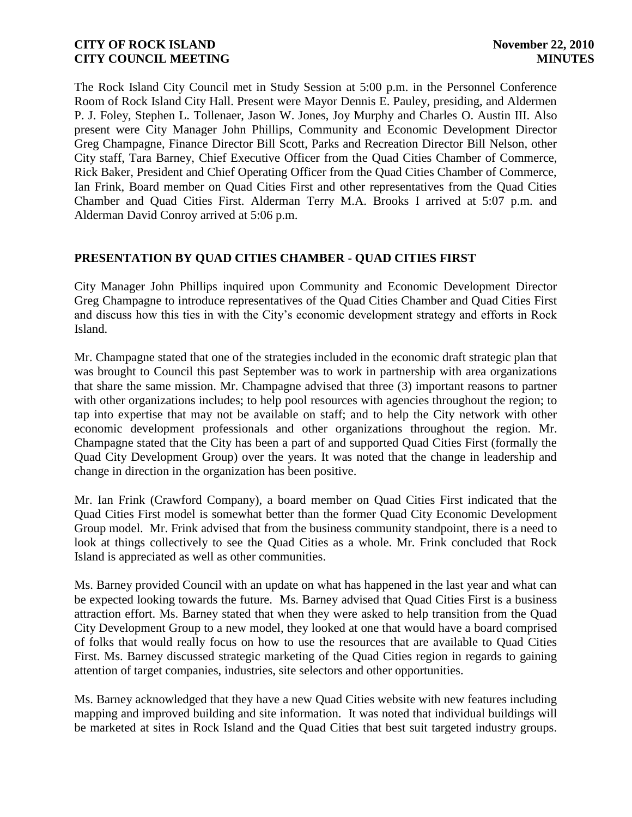The Rock Island City Council met in Study Session at 5:00 p.m. in the Personnel Conference Room of Rock Island City Hall. Present were Mayor Dennis E. Pauley, presiding, and Aldermen P. J. Foley, Stephen L. Tollenaer, Jason W. Jones, Joy Murphy and Charles O. Austin III. Also present were City Manager John Phillips, Community and Economic Development Director Greg Champagne, Finance Director Bill Scott, Parks and Recreation Director Bill Nelson, other City staff, Tara Barney, Chief Executive Officer from the Quad Cities Chamber of Commerce, Rick Baker, President and Chief Operating Officer from the Quad Cities Chamber of Commerce, Ian Frink, Board member on Quad Cities First and other representatives from the Quad Cities Chamber and Quad Cities First. Alderman Terry M.A. Brooks I arrived at 5:07 p.m. and Alderman David Conroy arrived at 5:06 p.m.

## **PRESENTATION BY QUAD CITIES CHAMBER - QUAD CITIES FIRST**

City Manager John Phillips inquired upon Community and Economic Development Director Greg Champagne to introduce representatives of the Quad Cities Chamber and Quad Cities First and discuss how this ties in with the City's economic development strategy and efforts in Rock Island.

Mr. Champagne stated that one of the strategies included in the economic draft strategic plan that was brought to Council this past September was to work in partnership with area organizations that share the same mission. Mr. Champagne advised that three (3) important reasons to partner with other organizations includes; to help pool resources with agencies throughout the region; to tap into expertise that may not be available on staff; and to help the City network with other economic development professionals and other organizations throughout the region. Mr. Champagne stated that the City has been a part of and supported Quad Cities First (formally the Quad City Development Group) over the years. It was noted that the change in leadership and change in direction in the organization has been positive.

Mr. Ian Frink (Crawford Company), a board member on Quad Cities First indicated that the Quad Cities First model is somewhat better than the former Quad City Economic Development Group model. Mr. Frink advised that from the business community standpoint, there is a need to look at things collectively to see the Quad Cities as a whole. Mr. Frink concluded that Rock Island is appreciated as well as other communities.

Ms. Barney provided Council with an update on what has happened in the last year and what can be expected looking towards the future. Ms. Barney advised that Quad Cities First is a business attraction effort. Ms. Barney stated that when they were asked to help transition from the Quad City Development Group to a new model, they looked at one that would have a board comprised of folks that would really focus on how to use the resources that are available to Quad Cities First. Ms. Barney discussed strategic marketing of the Quad Cities region in regards to gaining attention of target companies, industries, site selectors and other opportunities.

Ms. Barney acknowledged that they have a new Quad Cities website with new features including mapping and improved building and site information. It was noted that individual buildings will be marketed at sites in Rock Island and the Quad Cities that best suit targeted industry groups.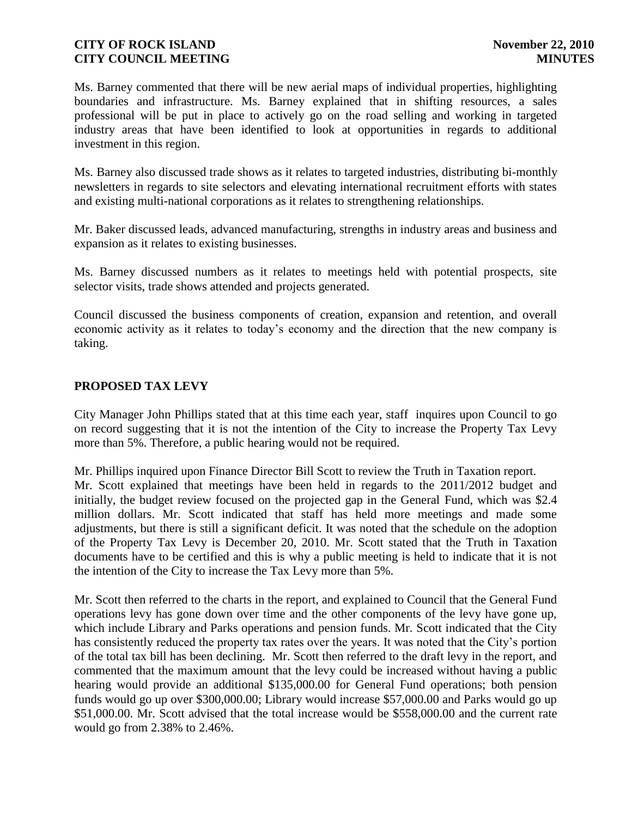Ms. Barney commented that there will be new aerial maps of individual properties, highlighting boundaries and infrastructure. Ms. Barney explained that in shifting resources, a sales professional will be put in place to actively go on the road selling and working in targeted industry areas that have been identified to look at opportunities in regards to additional investment in this region.

Ms. Barney also discussed trade shows as it relates to targeted industries, distributing bi-monthly newsletters in regards to site selectors and elevating international recruitment efforts with states and existing multi-national corporations as it relates to strengthening relationships.

Mr. Baker discussed leads, advanced manufacturing, strengths in industry areas and business and expansion as it relates to existing businesses.

Ms. Barney discussed numbers as it relates to meetings held with potential prospects, site selector visits, trade shows attended and projects generated.

Council discussed the business components of creation, expansion and retention, and overall economic activity as it relates to today's economy and the direction that the new company is taking.

## **PROPOSED TAX LEVY**

City Manager John Phillips stated that at this time each year, staff inquires upon Council to go on record suggesting that it is not the intention of the City to increase the Property Tax Levy more than 5%. Therefore, a public hearing would not be required.

Mr. Phillips inquired upon Finance Director Bill Scott to review the Truth in Taxation report. Mr. Scott explained that meetings have been held in regards to the 2011/2012 budget and initially, the budget review focused on the projected gap in the General Fund, which was \$2.4 million dollars. Mr. Scott indicated that staff has held more meetings and made some adjustments, but there is still a significant deficit. It was noted that the schedule on the adoption of the Property Tax Levy is December 20, 2010. Mr. Scott stated that the Truth in Taxation documents have to be certified and this is why a public meeting is held to indicate that it is not the intention of the City to increase the Tax Levy more than 5%.

Mr. Scott then referred to the charts in the report, and explained to Council that the General Fund operations levy has gone down over time and the other components of the levy have gone up, which include Library and Parks operations and pension funds. Mr. Scott indicated that the City has consistently reduced the property tax rates over the years. It was noted that the City's portion of the total tax bill has been declining. Mr. Scott then referred to the draft levy in the report, and commented that the maximum amount that the levy could be increased without having a public hearing would provide an additional \$135,000.00 for General Fund operations; both pension funds would go up over \$300,000.00; Library would increase \$57,000.00 and Parks would go up \$51,000.00. Mr. Scott advised that the total increase would be \$558,000.00 and the current rate would go from 2.38% to 2.46%.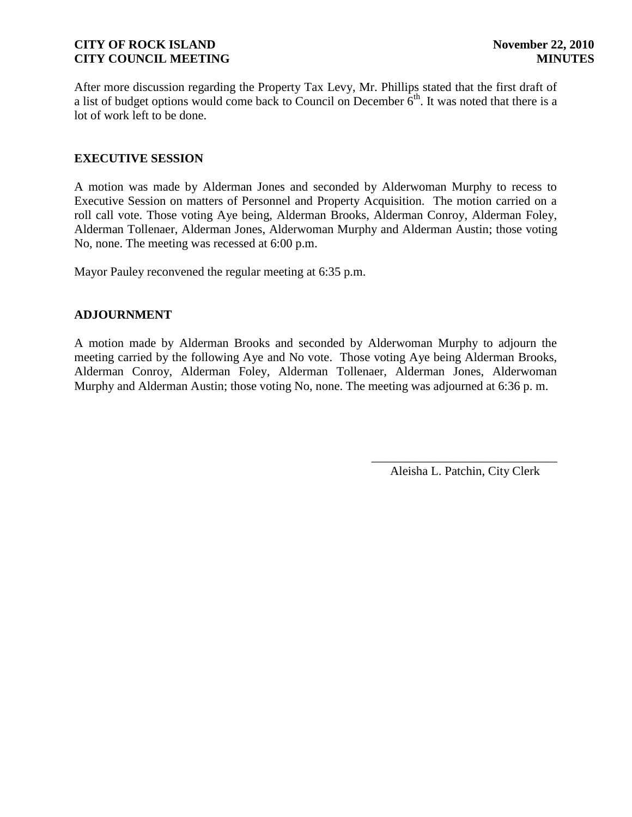After more discussion regarding the Property Tax Levy, Mr. Phillips stated that the first draft of a list of budget options would come back to Council on December  $6<sup>th</sup>$ . It was noted that there is a lot of work left to be done.

### **EXECUTIVE SESSION**

A motion was made by Alderman Jones and seconded by Alderwoman Murphy to recess to Executive Session on matters of Personnel and Property Acquisition. The motion carried on a roll call vote. Those voting Aye being, Alderman Brooks, Alderman Conroy, Alderman Foley, Alderman Tollenaer, Alderman Jones, Alderwoman Murphy and Alderman Austin; those voting No, none. The meeting was recessed at 6:00 p.m.

Mayor Pauley reconvened the regular meeting at 6:35 p.m.

### **ADJOURNMENT**

A motion made by Alderman Brooks and seconded by Alderwoman Murphy to adjourn the meeting carried by the following Aye and No vote. Those voting Aye being Alderman Brooks, Alderman Conroy, Alderman Foley, Alderman Tollenaer, Alderman Jones, Alderwoman Murphy and Alderman Austin; those voting No, none. The meeting was adjourned at 6:36 p. m.

> \_\_\_\_\_\_\_\_\_\_\_\_\_\_\_\_\_\_\_\_\_\_\_\_\_\_\_\_\_\_ Aleisha L. Patchin, City Clerk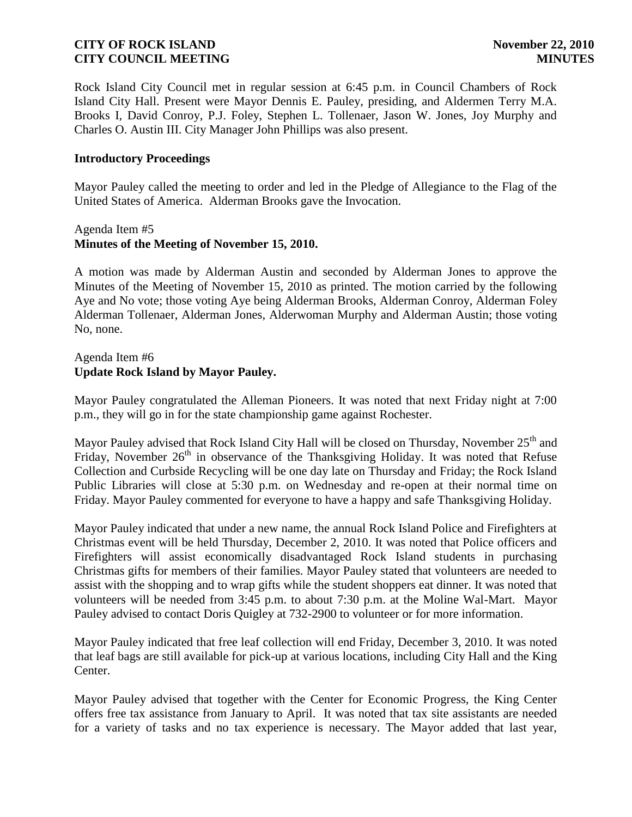Rock Island City Council met in regular session at 6:45 p.m. in Council Chambers of Rock Island City Hall. Present were Mayor Dennis E. Pauley, presiding, and Aldermen Terry M.A. Brooks I, David Conroy, P.J. Foley, Stephen L. Tollenaer, Jason W. Jones, Joy Murphy and Charles O. Austin III. City Manager John Phillips was also present.

#### **Introductory Proceedings**

Mayor Pauley called the meeting to order and led in the Pledge of Allegiance to the Flag of the United States of America. Alderman Brooks gave the Invocation.

#### Agenda Item #5 **Minutes of the Meeting of November 15, 2010.**

A motion was made by Alderman Austin and seconded by Alderman Jones to approve the Minutes of the Meeting of November 15, 2010 as printed. The motion carried by the following Aye and No vote; those voting Aye being Alderman Brooks, Alderman Conroy, Alderman Foley Alderman Tollenaer, Alderman Jones, Alderwoman Murphy and Alderman Austin; those voting No, none.

## Agenda Item #6 **Update Rock Island by Mayor Pauley.**

Mayor Pauley congratulated the Alleman Pioneers. It was noted that next Friday night at 7:00 p.m., they will go in for the state championship game against Rochester.

Mayor Pauley advised that Rock Island City Hall will be closed on Thursday, November 25<sup>th</sup> and Friday, November  $26<sup>th</sup>$  in observance of the Thanksgiving Holiday. It was noted that Refuse Collection and Curbside Recycling will be one day late on Thursday and Friday; the Rock Island Public Libraries will close at 5:30 p.m. on Wednesday and re-open at their normal time on Friday. Mayor Pauley commented for everyone to have a happy and safe Thanksgiving Holiday.

Mayor Pauley indicated that under a new name, the annual Rock Island Police and Firefighters at Christmas event will be held Thursday, December 2, 2010. It was noted that Police officers and Firefighters will assist economically disadvantaged Rock Island students in purchasing Christmas gifts for members of their families. Mayor Pauley stated that volunteers are needed to assist with the shopping and to wrap gifts while the student shoppers eat dinner. It was noted that volunteers will be needed from 3:45 p.m. to about 7:30 p.m. at the Moline Wal-Mart. Mayor Pauley advised to contact Doris Quigley at 732-2900 to volunteer or for more information.

Mayor Pauley indicated that free leaf collection will end Friday, December 3, 2010. It was noted that leaf bags are still available for pick-up at various locations, including City Hall and the King Center.

Mayor Pauley advised that together with the Center for Economic Progress, the King Center offers free tax assistance from January to April. It was noted that tax site assistants are needed for a variety of tasks and no tax experience is necessary. The Mayor added that last year,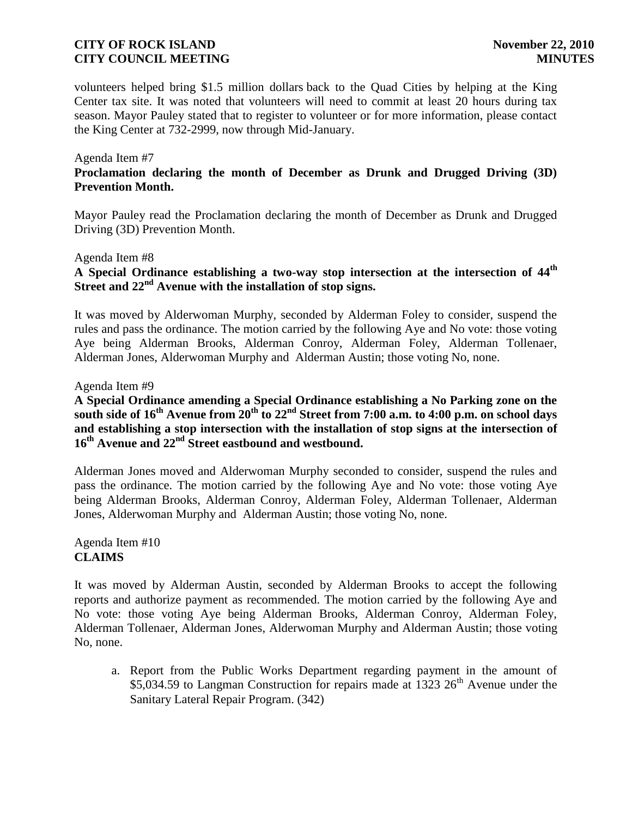volunteers helped bring \$1.5 million dollars back to the Quad Cities by helping at the King Center tax site. It was noted that volunteers will need to commit at least 20 hours during tax season. Mayor Pauley stated that to register to volunteer or for more information, please contact the King Center at 732-2999, now through Mid-January.

#### Agenda Item #7

## **Proclamation declaring the month of December as Drunk and Drugged Driving (3D) Prevention Month.**

Mayor Pauley read the Proclamation declaring the month of December as Drunk and Drugged Driving (3D) Prevention Month.

#### Agenda Item #8

# **A Special Ordinance establishing a two-way stop intersection at the intersection of 44th Street and 22nd Avenue with the installation of stop signs.**

It was moved by Alderwoman Murphy, seconded by Alderman Foley to consider, suspend the rules and pass the ordinance. The motion carried by the following Aye and No vote: those voting Aye being Alderman Brooks, Alderman Conroy, Alderman Foley, Alderman Tollenaer, Alderman Jones, Alderwoman Murphy and Alderman Austin; those voting No, none.

#### Agenda Item #9

## **A Special Ordinance amending a Special Ordinance establishing a No Parking zone on the south side of 16th Avenue from 20th to 22nd Street from 7:00 a.m. to 4:00 p.m. on school days and establishing a stop intersection with the installation of stop signs at the intersection of 16th Avenue and 22nd Street eastbound and westbound.**

Alderman Jones moved and Alderwoman Murphy seconded to consider, suspend the rules and pass the ordinance. The motion carried by the following Aye and No vote: those voting Aye being Alderman Brooks, Alderman Conroy, Alderman Foley, Alderman Tollenaer, Alderman Jones, Alderwoman Murphy and Alderman Austin; those voting No, none.

Agenda Item #10 **CLAIMS**

It was moved by Alderman Austin, seconded by Alderman Brooks to accept the following reports and authorize payment as recommended. The motion carried by the following Aye and No vote: those voting Aye being Alderman Brooks, Alderman Conroy, Alderman Foley, Alderman Tollenaer, Alderman Jones, Alderwoman Murphy and Alderman Austin; those voting No, none.

a. Report from the Public Works Department regarding payment in the amount of  $$5,034.59$  to Langman Construction for repairs made at 1323 26<sup>th</sup> Avenue under the Sanitary Lateral Repair Program. (342)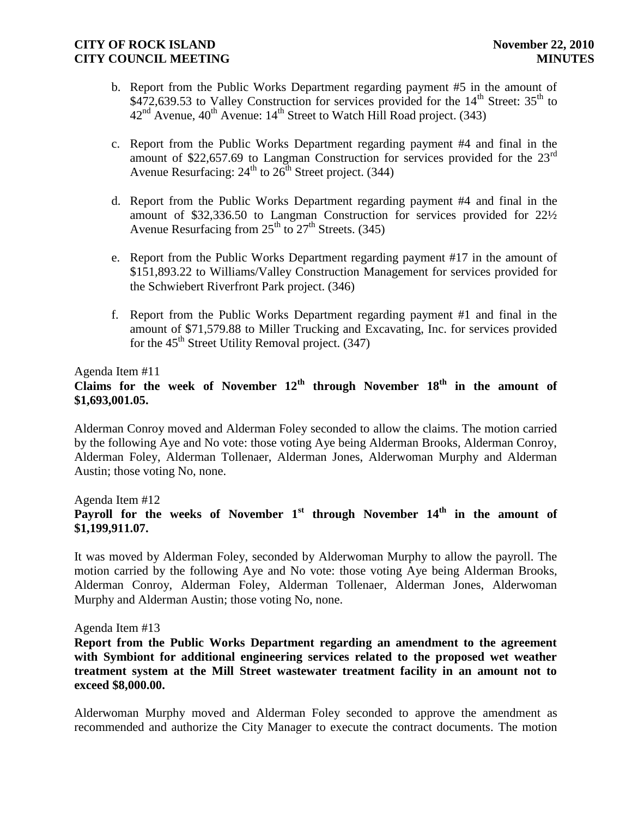- b. Report from the Public Works Department regarding payment #5 in the amount of \$472,639.53 to Valley Construction for services provided for the  $14<sup>th</sup>$  Street:  $35<sup>th</sup>$  to  $42<sup>nd</sup>$  Avenue,  $40<sup>th</sup>$  Avenue:  $14<sup>th</sup>$  Street to Watch Hill Road project. (343)
- c. Report from the Public Works Department regarding payment #4 and final in the amount of \$22,657.69 to Langman Construction for services provided for the 23<sup>rd</sup> Avenue Resurfacing:  $24<sup>th</sup>$  to  $26<sup>th</sup>$  Street project. (344)
- d. Report from the Public Works Department regarding payment #4 and final in the amount of \$32,336.50 to Langman Construction for services provided for 22½ Avenue Resurfacing from  $25<sup>th</sup>$  to  $27<sup>th</sup>$  Streets. (345)
- e. Report from the Public Works Department regarding payment #17 in the amount of \$151,893.22 to Williams/Valley Construction Management for services provided for the Schwiebert Riverfront Park project. (346)
- f. Report from the Public Works Department regarding payment #1 and final in the amount of \$71,579.88 to Miller Trucking and Excavating, Inc. for services provided for the  $45<sup>th</sup>$  Street Utility Removal project. (347)

Agenda Item #11

# **Claims for the week of November 12th through November 18th in the amount of \$1,693,001.05.**

Alderman Conroy moved and Alderman Foley seconded to allow the claims. The motion carried by the following Aye and No vote: those voting Aye being Alderman Brooks, Alderman Conroy, Alderman Foley, Alderman Tollenaer, Alderman Jones, Alderwoman Murphy and Alderman Austin; those voting No, none.

## Agenda Item #12 **Payroll for the weeks of November 1st through November 14th in the amount of \$1,199,911.07.**

It was moved by Alderman Foley, seconded by Alderwoman Murphy to allow the payroll. The motion carried by the following Aye and No vote: those voting Aye being Alderman Brooks, Alderman Conroy, Alderman Foley, Alderman Tollenaer, Alderman Jones, Alderwoman Murphy and Alderman Austin; those voting No, none.

#### Agenda Item #13

**Report from the Public Works Department regarding an amendment to the agreement with Symbiont for additional engineering services related to the proposed wet weather treatment system at the Mill Street wastewater treatment facility in an amount not to exceed \$8,000.00.**

Alderwoman Murphy moved and Alderman Foley seconded to approve the amendment as recommended and authorize the City Manager to execute the contract documents. The motion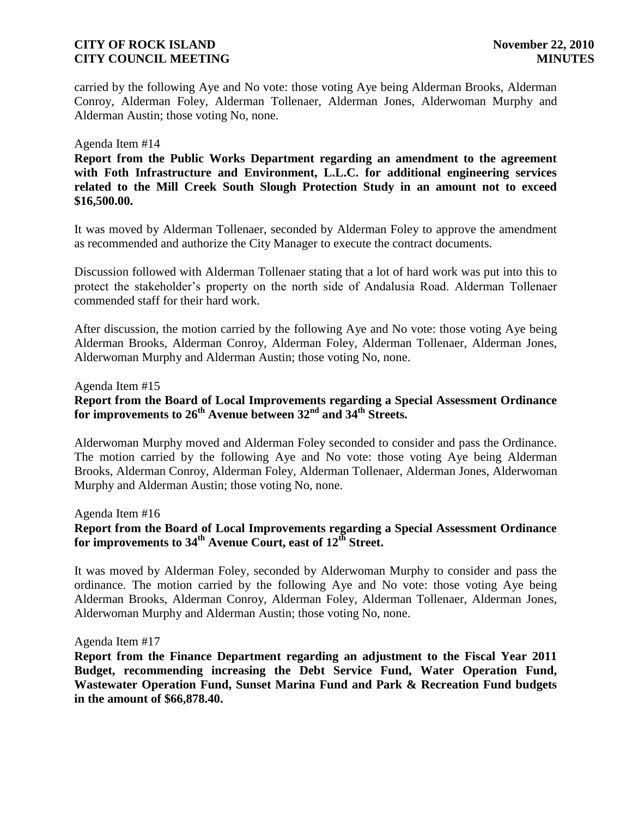carried by the following Aye and No vote: those voting Aye being Alderman Brooks, Alderman Conroy, Alderman Foley, Alderman Tollenaer, Alderman Jones, Alderwoman Murphy and Alderman Austin; those voting No, none.

#### Agenda Item #14

**Report from the Public Works Department regarding an amendment to the agreement with Foth Infrastructure and Environment, L.L.C. for additional engineering services related to the Mill Creek South Slough Protection Study in an amount not to exceed \$16,500.00.**

It was moved by Alderman Tollenaer, seconded by Alderman Foley to approve the amendment as recommended and authorize the City Manager to execute the contract documents.

Discussion followed with Alderman Tollenaer stating that a lot of hard work was put into this to protect the stakeholder's property on the north side of Andalusia Road. Alderman Tollenaer commended staff for their hard work.

After discussion, the motion carried by the following Aye and No vote: those voting Aye being Alderman Brooks, Alderman Conroy, Alderman Foley, Alderman Tollenaer, Alderman Jones, Alderwoman Murphy and Alderman Austin; those voting No, none.

Agenda Item #15

**Report from the Board of Local Improvements regarding a Special Assessment Ordinance for improvements to 26th Avenue between 32nd and 34th Streets.** 

Alderwoman Murphy moved and Alderman Foley seconded to consider and pass the Ordinance. The motion carried by the following Aye and No vote: those voting Aye being Alderman Brooks, Alderman Conroy, Alderman Foley, Alderman Tollenaer, Alderman Jones, Alderwoman Murphy and Alderman Austin; those voting No, none.

Agenda Item #16

## **Report from the Board of Local Improvements regarding a Special Assessment Ordinance for improvements to 34th Avenue Court, east of 12th Street.**

It was moved by Alderman Foley, seconded by Alderwoman Murphy to consider and pass the ordinance. The motion carried by the following Aye and No vote: those voting Aye being Alderman Brooks, Alderman Conroy, Alderman Foley, Alderman Tollenaer, Alderman Jones, Alderwoman Murphy and Alderman Austin; those voting No, none.

Agenda Item #17

**Report from the Finance Department regarding an adjustment to the Fiscal Year 2011 Budget, recommending increasing the Debt Service Fund, Water Operation Fund, Wastewater Operation Fund, Sunset Marina Fund and Park & Recreation Fund budgets in the amount of \$66,878.40.**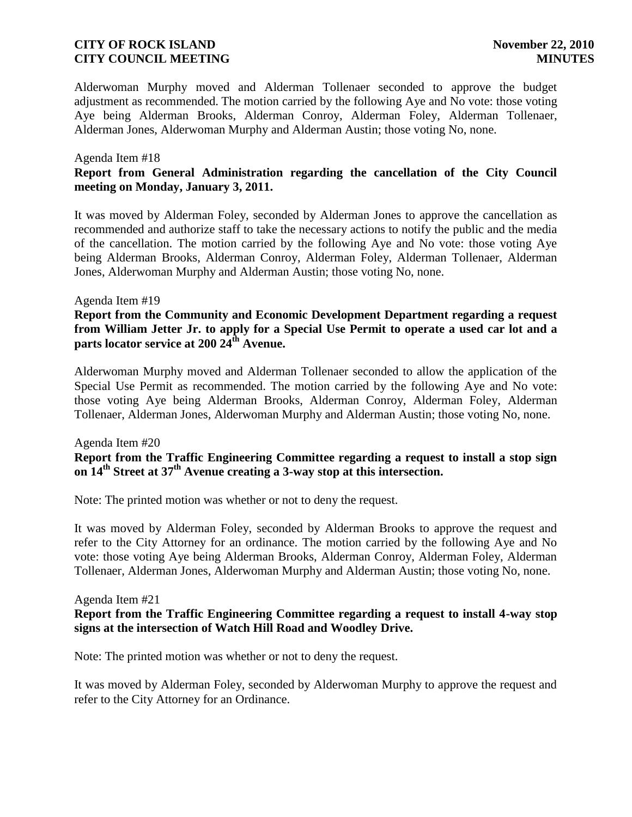Alderwoman Murphy moved and Alderman Tollenaer seconded to approve the budget adjustment as recommended. The motion carried by the following Aye and No vote: those voting Aye being Alderman Brooks, Alderman Conroy, Alderman Foley, Alderman Tollenaer, Alderman Jones, Alderwoman Murphy and Alderman Austin; those voting No, none.

#### Agenda Item #18 **Report from General Administration regarding the cancellation of the City Council meeting on Monday, January 3, 2011.**

It was moved by Alderman Foley, seconded by Alderman Jones to approve the cancellation as recommended and authorize staff to take the necessary actions to notify the public and the media of the cancellation. The motion carried by the following Aye and No vote: those voting Aye being Alderman Brooks, Alderman Conroy, Alderman Foley, Alderman Tollenaer, Alderman Jones, Alderwoman Murphy and Alderman Austin; those voting No, none.

#### Agenda Item #19

**Report from the Community and Economic Development Department regarding a request from William Jetter Jr. to apply for a Special Use Permit to operate a used car lot and a parts locator service at 200 24th Avenue.**

Alderwoman Murphy moved and Alderman Tollenaer seconded to allow the application of the Special Use Permit as recommended. The motion carried by the following Aye and No vote: those voting Aye being Alderman Brooks, Alderman Conroy, Alderman Foley, Alderman Tollenaer, Alderman Jones, Alderwoman Murphy and Alderman Austin; those voting No, none.

#### Agenda Item #20 **Report from the Traffic Engineering Committee regarding a request to install a stop sign on 14th Street at 37th Avenue creating a 3-way stop at this intersection.**

Note: The printed motion was whether or not to deny the request.

It was moved by Alderman Foley, seconded by Alderman Brooks to approve the request and refer to the City Attorney for an ordinance. The motion carried by the following Aye and No vote: those voting Aye being Alderman Brooks, Alderman Conroy, Alderman Foley, Alderman Tollenaer, Alderman Jones, Alderwoman Murphy and Alderman Austin; those voting No, none.

#### Agenda Item #21

### **Report from the Traffic Engineering Committee regarding a request to install 4-way stop signs at the intersection of Watch Hill Road and Woodley Drive.**

Note: The printed motion was whether or not to deny the request.

It was moved by Alderman Foley, seconded by Alderwoman Murphy to approve the request and refer to the City Attorney for an Ordinance.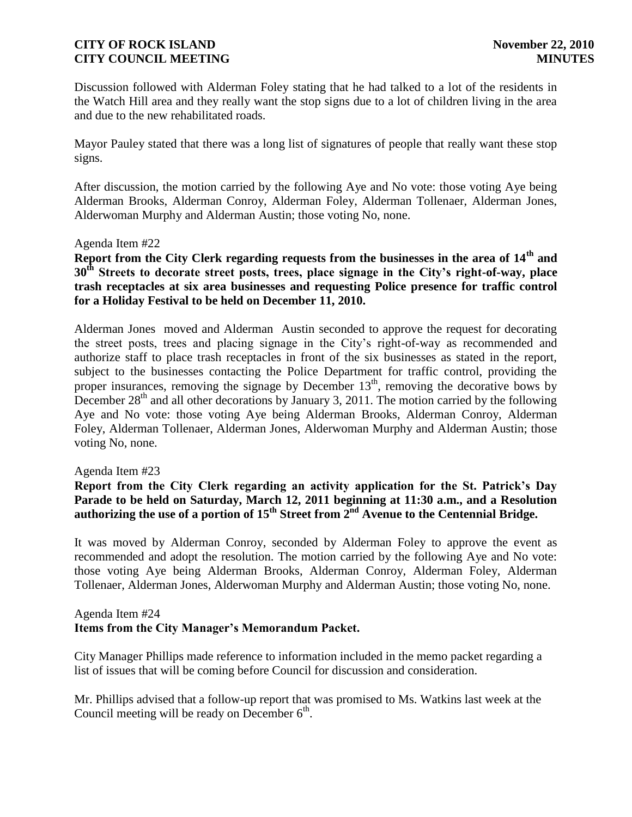Discussion followed with Alderman Foley stating that he had talked to a lot of the residents in the Watch Hill area and they really want the stop signs due to a lot of children living in the area and due to the new rehabilitated roads.

Mayor Pauley stated that there was a long list of signatures of people that really want these stop signs.

After discussion, the motion carried by the following Aye and No vote: those voting Aye being Alderman Brooks, Alderman Conroy, Alderman Foley, Alderman Tollenaer, Alderman Jones, Alderwoman Murphy and Alderman Austin; those voting No, none.

#### Agenda Item #22

**Report from the City Clerk regarding requests from the businesses in the area of 14th and 30th Streets to decorate street posts, trees, place signage in the City's right-of-way, place trash receptacles at six area businesses and requesting Police presence for traffic control for a Holiday Festival to be held on December 11, 2010.**

Alderman Jones moved and Alderman Austin seconded to approve the request for decorating the street posts, trees and placing signage in the City's right-of-way as recommended and authorize staff to place trash receptacles in front of the six businesses as stated in the report, subject to the businesses contacting the Police Department for traffic control, providing the proper insurances, removing the signage by December  $13<sup>th</sup>$ , removing the decorative bows by December  $28<sup>th</sup>$  and all other decorations by January 3, 2011. The motion carried by the following Aye and No vote: those voting Aye being Alderman Brooks, Alderman Conroy, Alderman Foley, Alderman Tollenaer, Alderman Jones, Alderwoman Murphy and Alderman Austin; those voting No, none.

#### Agenda Item #23

### **Report from the City Clerk regarding an activity application for the St. Patrick's Day Parade to be held on Saturday, March 12, 2011 beginning at 11:30 a.m., and a Resolution authorizing the use of a portion of 15th Street from 2nd Avenue to the Centennial Bridge.**

It was moved by Alderman Conroy, seconded by Alderman Foley to approve the event as recommended and adopt the resolution. The motion carried by the following Aye and No vote: those voting Aye being Alderman Brooks, Alderman Conroy, Alderman Foley, Alderman Tollenaer, Alderman Jones, Alderwoman Murphy and Alderman Austin; those voting No, none.

#### Agenda Item #24

### **Items from the City Manager's Memorandum Packet.**

City Manager Phillips made reference to information included in the memo packet regarding a list of issues that will be coming before Council for discussion and consideration.

Mr. Phillips advised that a follow-up report that was promised to Ms. Watkins last week at the Council meeting will be ready on December  $6<sup>th</sup>$ .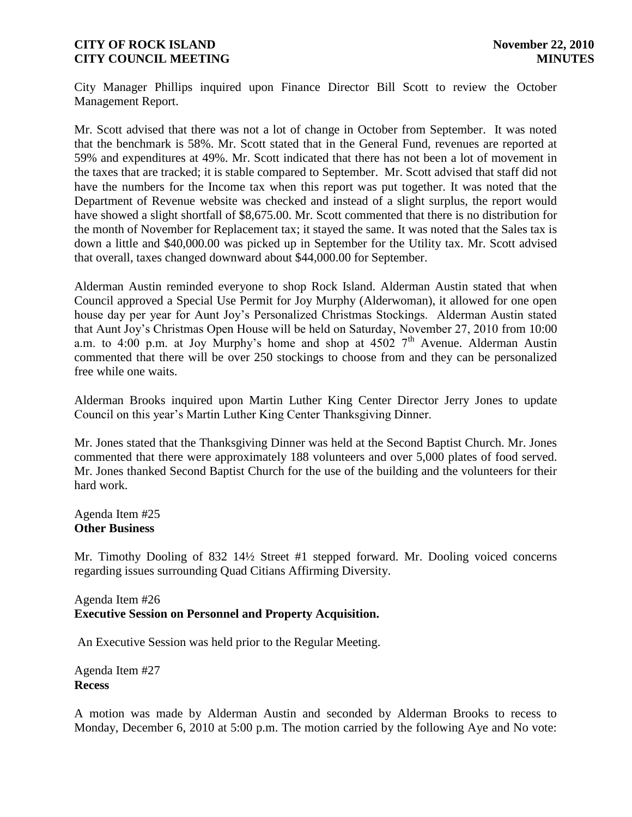City Manager Phillips inquired upon Finance Director Bill Scott to review the October Management Report.

Mr. Scott advised that there was not a lot of change in October from September. It was noted that the benchmark is 58%. Mr. Scott stated that in the General Fund, revenues are reported at 59% and expenditures at 49%. Mr. Scott indicated that there has not been a lot of movement in the taxes that are tracked; it is stable compared to September. Mr. Scott advised that staff did not have the numbers for the Income tax when this report was put together. It was noted that the Department of Revenue website was checked and instead of a slight surplus, the report would have showed a slight shortfall of \$8,675.00. Mr. Scott commented that there is no distribution for the month of November for Replacement tax; it stayed the same. It was noted that the Sales tax is down a little and \$40,000.00 was picked up in September for the Utility tax. Mr. Scott advised that overall, taxes changed downward about \$44,000.00 for September.

Alderman Austin reminded everyone to shop Rock Island. Alderman Austin stated that when Council approved a Special Use Permit for Joy Murphy (Alderwoman), it allowed for one open house day per year for Aunt Joy's Personalized Christmas Stockings. Alderman Austin stated that Aunt Joy's Christmas Open House will be held on Saturday, November 27, 2010 from 10:00 a.m. to 4:00 p.m. at Joy Murphy's home and shop at  $45027<sup>th</sup>$  Avenue. Alderman Austin commented that there will be over 250 stockings to choose from and they can be personalized free while one waits.

Alderman Brooks inquired upon Martin Luther King Center Director Jerry Jones to update Council on this year's Martin Luther King Center Thanksgiving Dinner.

Mr. Jones stated that the Thanksgiving Dinner was held at the Second Baptist Church. Mr. Jones commented that there were approximately 188 volunteers and over 5,000 plates of food served. Mr. Jones thanked Second Baptist Church for the use of the building and the volunteers for their hard work.

Agenda Item #25 **Other Business**

Mr. Timothy Dooling of 832 14½ Street #1 stepped forward. Mr. Dooling voiced concerns regarding issues surrounding Quad Citians Affirming Diversity.

## Agenda Item #26 **Executive Session on Personnel and Property Acquisition.**

An Executive Session was held prior to the Regular Meeting.

Agenda Item #27 **Recess**

A motion was made by Alderman Austin and seconded by Alderman Brooks to recess to Monday, December 6, 2010 at 5:00 p.m. The motion carried by the following Aye and No vote: